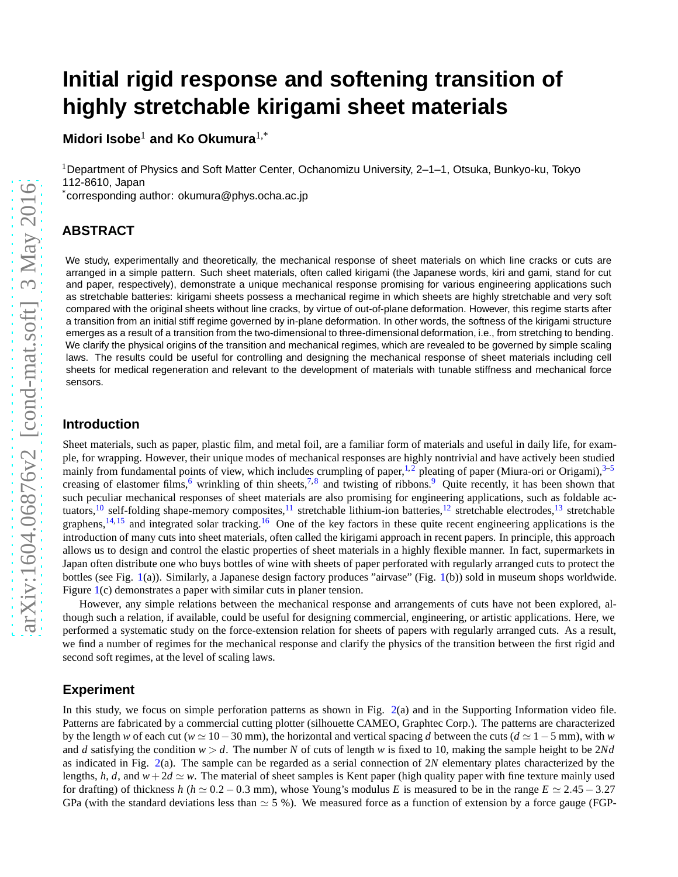# **Initial rigid response and softening transition of highly stretchable kirigami sheet materials**

**Midori Isobe**<sup>1</sup> **and Ko Okumura**1,\*

<sup>1</sup>Department of Physics and Soft Matter Center, Ochanomizu University, 2–1–1, Otsuka, Bunkyo-ku, Tokyo 112-8610, Japan

\*corresponding author: okumura@phys.ocha.ac.jp

# **ABSTRACT**

We study, experimentally and theoretically, the mechanical response of sheet materials on which line cracks or cuts are arranged in a simple pattern. Such sheet materials, often called kirigami (the Japanese words, kiri and gami, stand for cut and paper, respectively), demonstrate a unique mechanical response promising for various engineering applications such as stretchable batteries: kirigami sheets possess a mechanical regime in which sheets are highly stretchable and very soft compared with the original sheets without line cracks, by virtue of out-of-plane deformation. However, this regime starts after a transition from an initial stiff regime governed by in-plane deformation. In other words, the softness of the kirigami structure emerges as a result of a transition from the two-dimensional to three-dimensional deformation, i.e., from stretching to bending. We clarify the physical origins of the transition and mechanical regimes, which are revealed to be governed by simple scaling laws. The results could be useful for controlling and designing the mechanical response of sheet materials including cell sheets for medical regeneration and relevant to the development of materials with tunable stiffness and mechanical force sensors.

#### **Introduction**

Sheet materials, such as paper, plastic film, and metal foil, are a familiar form of materials and useful in daily life, for example, for wrapping. However, their unique modes of mechanical responses are highly nontrivial and have actively been studied mainly from fundamental points of view, which includes crumpling of paper,<sup>[1,](#page-5-0)[2](#page-5-1)</sup> pleating of paper (Miura-ori or Origami), $3-5$  $3-5$ creasing of elastomer films,  $6$  wrinkling of thin sheets,  $7.8$  $7.8$  and twisting of ribbons.  $9$  Quite recently, it has been shown that such peculiar mechanical responses of sheet materials are also promising for engineering applications, such as foldable ac-tuators, <sup>[10](#page-6-5)</sup> self-folding shape-memory composites, <sup>[11](#page-6-6)</sup> stretchable lithium-ion batteries, <sup>[12](#page-6-7)</sup> stretchable electrodes, <sup>[13](#page-6-8)</sup> stretchable graphens,  $14,15$  $14,15$  and integrated solar tracking. <sup>[16](#page-6-11)</sup> One of the key factors in these quite recent engineering applications is the introduction of many cuts into sheet materials, often called the kirigami approach in recent papers. In principle, this approach allows us to design and control the elastic properties of sheet materials in a highly flexible manner. In fact, supermarkets in Japan often distribute one who buys bottles of wine with sheets of paper perforated with regularly arranged cuts to protect the bottles (see Fig. [1\(](#page-1-0)a)). Similarly, a Japanese design factory produces "airvase" (Fig. [1\(](#page-1-0)b)) sold in museum shops worldwide. Figure [1\(](#page-1-0)c) demonstrates a paper with similar cuts in planer tension.

However, any simple relations between the mechanical response and arrangements of cuts have not been explored, although such a relation, if available, could be useful for designing commercial, engineering, or artistic applications. Here, we performed a systematic study on the force-extension relation for sheets of papers with regularly arranged cuts. As a result, we find a number of regimes for the mechanical response and clarify the physics of the transition between the first rigid and second soft regimes, at the level of scaling laws.

# **Experiment**

In this study, we focus on simple perforation patterns as shown in Fig. [2\(](#page-2-0)a) and in the Supporting Information video file. Patterns are fabricated by a commercial cutting plotter (silhouette CAMEO, Graphtec Corp.). The patterns are characterized by the length *w* of each cut ( $w \approx 10-30$  mm), the horizontal and vertical spacing *d* between the cuts ( $d \approx 1-5$  mm), with *w* and *d* satisfying the condition  $w > d$ . The number *N* of cuts of length *w* is fixed to 10, making the sample height to be 2*Nd* as indicated in Fig. [2\(](#page-2-0)a). The sample can be regarded as a serial connection of 2*N* elementary plates characterized by the lengths, *h*, *d*, and  $w + 2d \simeq w$ . The material of sheet samples is Kent paper (high quality paper with fine texture mainly used for drafting) of thickness *h* ( $h \approx 0.2 - 0.3$  mm), whose Young's modulus *E* is measured to be in the range  $E \approx 2.45 - 3.27$ GPa (with the standard deviations less than  $\simeq$  5 %). We measured force as a function of extension by a force gauge (FGP-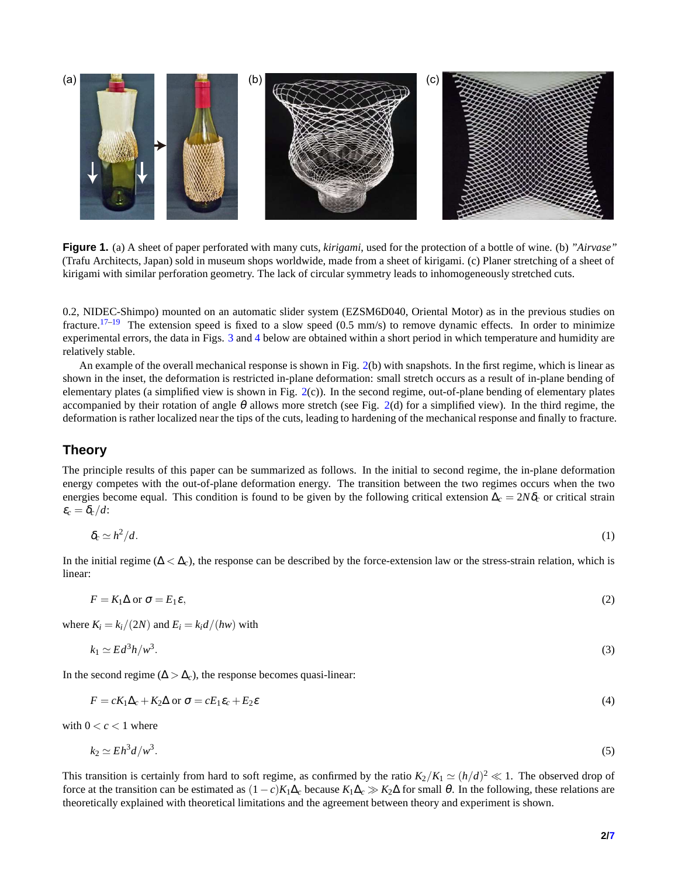<span id="page-1-0"></span>

**Figure 1.** (a) A sheet of paper perforated with many cuts, *kirigami*, used for the protection of a bottle of wine. (b) *"Airvase"* (Trafu Architects, Japan) sold in museum shops worldwide, made from a sheet of kirigami. (c) Planer stretching of a sheet of kirigami with similar perforation geometry. The lack of circular symmetry leads to inhomogeneously stretched cuts.

0.2, NIDEC-Shimpo) mounted on an automatic slider system (EZSM6D040, Oriental Motor) as in the previous studies on fracture.<sup>[17–](#page-6-12)[19](#page-6-13)</sup> The extension speed is fixed to a slow speed  $(0.5 \text{ mm/s})$  to remove dynamic effects. In order to minimize experimental errors, the data in Figs. [3](#page-4-0) and [4](#page-4-1) below are obtained within a short period in which temperature and humidity are relatively stable.

An example of the overall mechanical response is shown in Fig. [2\(](#page-2-0)b) with snapshots. In the first regime, which is linear as shown in the inset, the deformation is restricted in-plane deformation: small stretch occurs as a result of in-plane bending of elementary plates (a simplified view is shown in Fig.  $2(c)$  $2(c)$ ). In the second regime, out-of-plane bending of elementary plates accompanied by their rotation of angle  $\theta$  allows more stretch (see Fig. [2\(](#page-2-0)d) for a simplified view). In the third regime, the deformation is rather localized near the tips of the cuts, leading to hardening of the mechanical response and finally to fracture.

# **Theory**

The principle results of this paper can be summarized as follows. In the initial to second regime, the in-plane deformation energy competes with the out-of-plane deformation energy. The transition between the two regimes occurs when the two energies become equal. This condition is found to be given by the following critical extension  $\Delta_c = 2N\delta_c$  or critical strain  $\varepsilon_c = \delta_c/d$ :

<span id="page-1-5"></span>
$$
\delta_c \simeq h^2/d. \tag{1}
$$

In the initial regime ( $\Delta < \Delta_c$ ), the response can be described by the force-extension law or the stress-strain relation, which is linear:

<span id="page-1-1"></span>
$$
F = K_1 \Delta \text{ or } \sigma = E_1 \varepsilon,\tag{2}
$$

where  $K_i = k_i/(2N)$  and  $E_i = k_i d/(hw)$  with

<span id="page-1-3"></span><span id="page-1-2"></span>
$$
k_1 \simeq Ed^3 h/w^3. \tag{3}
$$

In the second regime ( $\Delta > \Delta_c$ ), the response becomes quasi-linear:

$$
F = cK_1\Delta_c + K_2\Delta \text{ or } \sigma = cE_1\varepsilon_c + E_2\varepsilon \tag{4}
$$

with  $0 < c < 1$  where

<span id="page-1-4"></span>
$$
k_2 \simeq Eh^3 d/w^3. \tag{5}
$$

This transition is certainly from hard to soft regime, as confirmed by the ratio  $K_2/K_1 \simeq (h/d)^2 \ll 1$ . The observed drop of force at the transition can be estimated as  $(1-c)K_1\Delta_c$  because  $K_1\Delta_c \gg K_2\Delta$  for small  $\theta$ . In the following, these relations are theoretically explained with theoretical limitations and the agreement between theory and experiment is shown.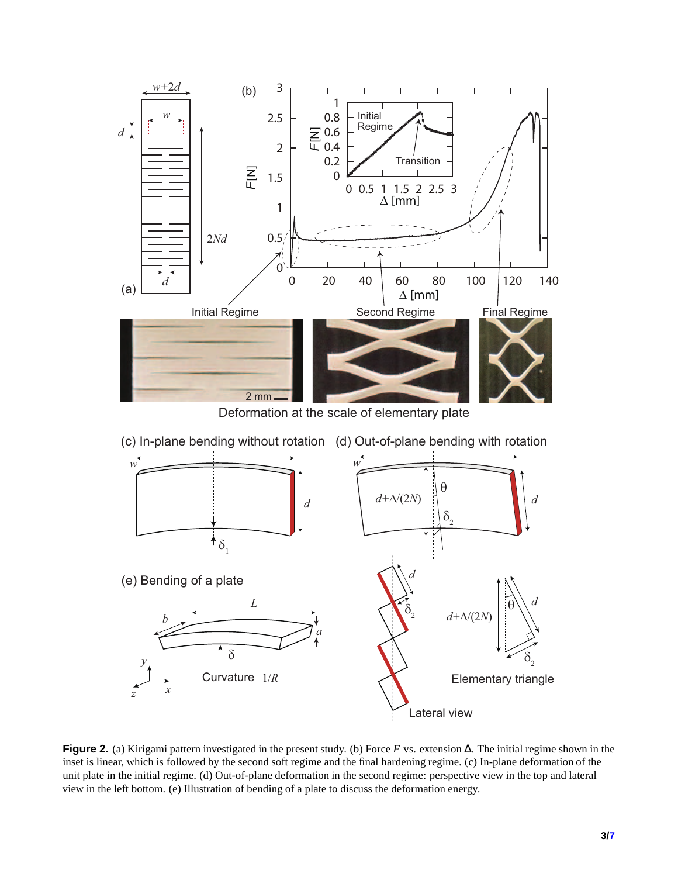<span id="page-2-0"></span>

Deformation at the scale of elementary plate



**Figure 2.** (a) Kirigami pattern investigated in the present study. (b) Force *F* vs. extension ∆. The initial regime shown in the inset is linear, which is followed by the second soft regime and the final hardening regime. (c) In-plane deformation of the unit plate in the initial regime. (d) Out-of-plane deformation in the second regime: perspective view in the top and lateral view in the left bottom. (e) Illustration of bending of a plate to discuss the deformation energy.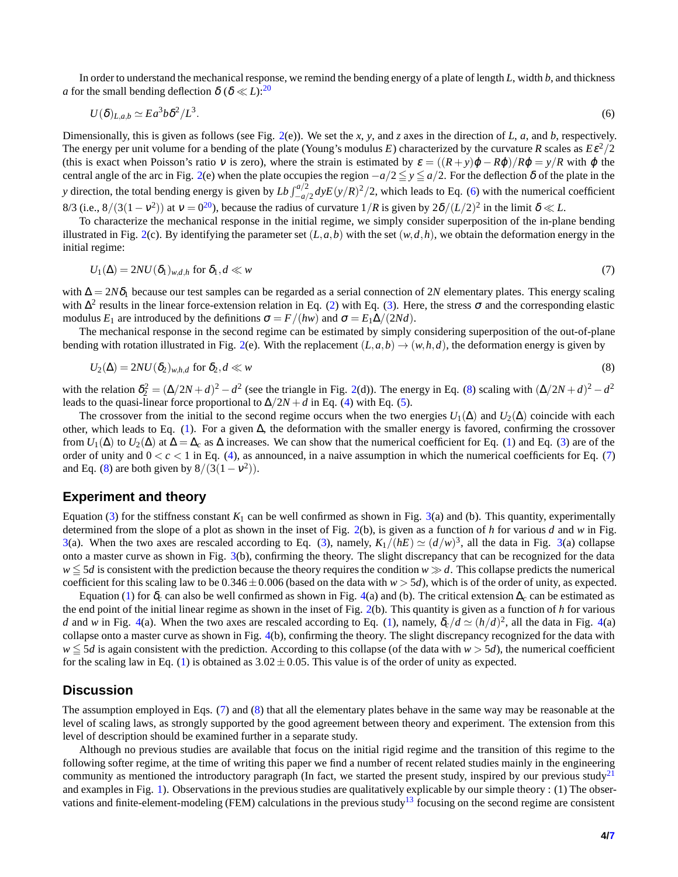In order to understand the mechanical response, we remind the bending energy of a plate of length *L*, width *b*, and thickness *a* for the small bending deflection  $\delta (\delta \ll L)$ :<sup>[20](#page-6-15)</sup>

<span id="page-3-0"></span>
$$
U(\delta)_{L,a,b} \simeq E a^3 b \delta^2 / L^3. \tag{6}
$$

Dimensionally, this is given as follows (see Fig. [2\(](#page-2-0)e)). We set the *x*, *y*, and *z* axes in the direction of *L*, *a*, and *b*, respectively. The energy per unit volume for a bending of the plate (Young's modulus *E*) characterized by the curvature *R* scales as  $E\epsilon^2/2$ (this is exact when Poisson's ratio v is zero), where the strain is estimated by  $\varepsilon = ((R + y)\varphi - R\varphi)/R\varphi = y/R$  with  $\varphi$  the central angle of the arc in Fig. [2\(](#page-2-0)e) when the plate occupies the region  $-a/2 \le y \le a/2$ . For the deflection  $\delta$  of the plate in the *y* direction, the total bending energy is given by  $Lb \int_{-a/2}^{a/2} dy E(y/R)^2/2$ , which leads to Eq. [\(6\)](#page-3-0) with the numerical coefficient 8/3 (i.e.,  $8/(3(1-v^2))$  at  $v = 0^{20}$  $v = 0^{20}$  $v = 0^{20}$ ), because the radius of curvature  $1/R$  is given by  $2\delta/(L/2)^2$  in the limit  $\delta \ll L$ .

To characterize the mechanical response in the initial regime, we simply consider superposition of the in-plane bending illustrated in Fig. [2\(](#page-2-0)c). By identifying the parameter set  $(L, a, b)$  with the set  $(w, d, h)$ , we obtain the deformation energy in the initial regime:

<span id="page-3-2"></span>
$$
U_1(\Delta) = 2NU(\delta_1)_{w,d,h} \text{ for } \delta_1, d \ll w \tag{7}
$$

with ∆ = 2*N*δ<sup>1</sup> because our test samples can be regarded as a serial connection of 2*N* elementary plates. This energy scaling with  $\Delta^2$  results in the linear force-extension relation in Eq. [\(2\)](#page-1-1) with Eq. [\(3\)](#page-1-2). Here, the stress  $\sigma$  and the corresponding elastic modulus  $E_1$  are introduced by the definitions  $\sigma = F/(hw)$  and  $\sigma = E_1\Delta/(2Nd)$ .

The mechanical response in the second regime can be estimated by simply considering superposition of the out-of-plane bending with rotation illustrated in Fig. [2\(](#page-2-0)e). With the replacement  $(L, a, b) \rightarrow (w, h, d)$ , the deformation energy is given by

<span id="page-3-1"></span>
$$
U_2(\Delta) = 2NU(\delta_2)_{w,h,d} \text{ for } \delta_2, d \ll w \tag{8}
$$

with the relation  $\delta_2^2 = (\Delta/2N + d)^2 - d^2$  (see the triangle in Fig. [2\(](#page-2-0)d)). The energy in Eq. [\(8\)](#page-3-1) scaling with  $(\Delta/2N + d)^2 - d^2$ leads to the quasi-linear force proportional to  $\Delta/2N + d$  in Eq. [\(4\)](#page-1-3) with Eq. [\(5\)](#page-1-4).

The crossover from the initial to the second regime occurs when the two energies  $U_1(\Delta)$  and  $U_2(\Delta)$  coincide with each other, which leads to Eq. [\(1\)](#page-1-5). For a given  $\Delta$ , the deformation with the smaller energy is favored, confirming the crossover from  $U_1(\Delta)$  to  $U_2(\Delta)$  at  $\Delta = \Delta_c$  as  $\Delta$  increases. We can show that the numerical coefficient for Eq. [\(1\)](#page-1-5) and Eq. [\(3\)](#page-1-2) are of the order of unity and  $0 < c < 1$  in Eq. [\(4\)](#page-1-3), as announced, in a naive assumption in which the numerical coefficients for Eq. [\(7\)](#page-3-2) and Eq. [\(8\)](#page-3-1) are both given by  $8/(3(1-v^2))$ .

#### **Experiment and theory**

Equation [\(3\)](#page-1-2) for the stiffness constant  $K_1$  can be well confirmed as shown in Fig. [3\(](#page-4-0)a) and (b). This quantity, experimentally determined from the slope of a plot as shown in the inset of Fig. [2\(](#page-2-0)b), is given as a function of *h* for various *d* and *w* in Fig. [3\(](#page-4-0)a). When the two axes are rescaled according to Eq. [\(3\)](#page-1-2), namely,  $K_1/(hE) \simeq (d/w)^3$ , all the data in Fig. 3(a) collapse onto a master curve as shown in Fig. [3\(](#page-4-0)b), confirming the theory. The slight discrepancy that can be recognized for the data *w* ≦ 5*d* is consistent with the prediction because the theory requires the condition *w* ≫ *d*. This collapse predicts the numerical coefficient for this scaling law to be  $0.346 \pm 0.006$  (based on the data with  $w > 5d$ ), which is of the order of unity, as expected.

Equation [\(1\)](#page-1-5) for  $\delta_c$  can also be well confirmed as shown in Fig. [4\(](#page-4-1)a) and (b). The critical extension  $\Delta_c$  can be estimated as the end point of the initial linear regime as shown in the inset of Fig. [2\(](#page-2-0)b). This quantity is given as a function of *h* for various *d* and *w* in Fig. [4\(](#page-4-1)a). When the two axes are rescaled according to Eq. [\(1\)](#page-1-5), namely,  $\delta_c/d \simeq (h/d)^2$ , all the data in Fig. 4(a) collapse onto a master curve as shown in Fig. [4\(](#page-4-1)b), confirming the theory. The slight discrepancy recognized for the data with  $w \leq 5d$  is again consistent with the prediction. According to this collapse (of the data with  $w > 5d$ ), the numerical coefficient for the scaling law in Eq. [\(1\)](#page-1-5) is obtained as  $3.02 \pm 0.05$ . This value is of the order of unity as expected.

# **Discussion**

The assumption employed in Eqs. [\(7\)](#page-3-2) and [\(8\)](#page-3-1) that all the elementary plates behave in the same way may be reasonable at the level of scaling laws, as strongly supported by the good agreement between theory and experiment. The extension from this level of description should be examined further in a separate study.

Although no previous studies are available that focus on the initial rigid regime and the transition of this regime to the following softer regime, at the time of writing this paper we find a number of recent related studies mainly in the engineering community as mentioned the introductory paragraph (In fact, we started the present study, inspired by our previous study<sup>[21](#page-6-16)</sup> and examples in Fig. [1\)](#page-1-0). Observations in the previous studies are qualitatively explicable by our simple theory : (1) The obser-vations and finite-element-modeling (FEM) calculations in the previous study<sup>[13](#page-6-8)</sup> focusing on the second regime are consistent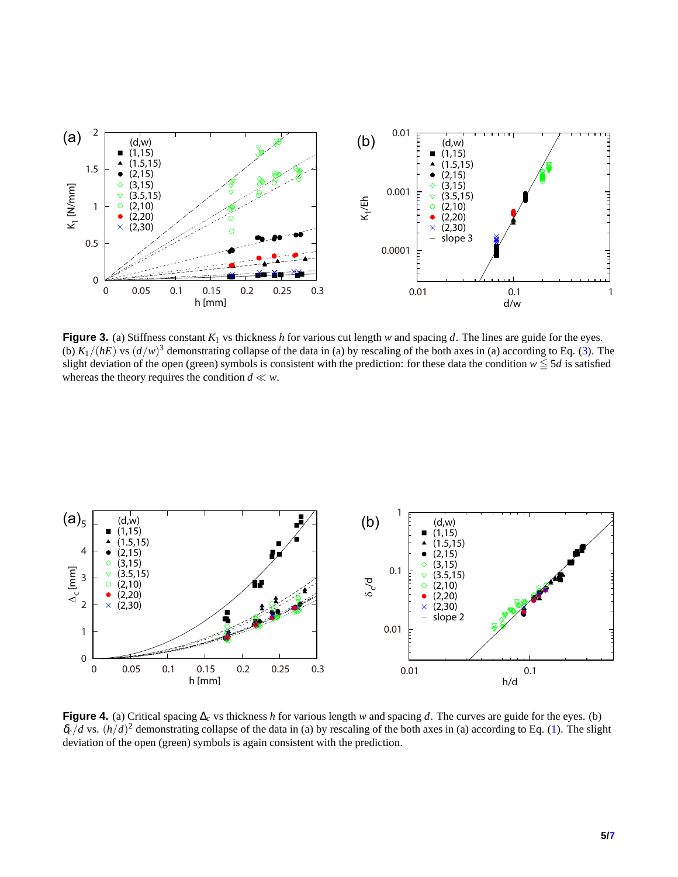<span id="page-4-0"></span>

**Figure 3.** (a) Stiffness constant  $K_1$  vs thickness *h* for various cut length *w* and spacing *d*. The lines are guide for the eyes. (b)  $K_1/(hE)$  vs  $(d/w)^3$  demonstrating collapse of the data in (a) by rescaling of the both axes in (a) according to Eq. [\(3\)](#page-1-2). The slight deviation of the open (green) symbols is consistent with the prediction: for these data the condition  $w \leq 5d$  is satisfied whereas the theory requires the condition  $d \ll w$ .

<span id="page-4-1"></span>

**Figure 4.** (a) Critical spacing ∆*<sup>c</sup>* vs thickness *h* for various length *w* and spacing *d*. The curves are guide for the eyes. (b)  $\delta_c/d$  vs.  $(h/d)^2$  demonstrating collapse of the data in (a) by rescaling of the both axes in (a) according to Eq. [\(1\)](#page-1-5). The slight deviation of the open (green) symbols is again consistent with the prediction.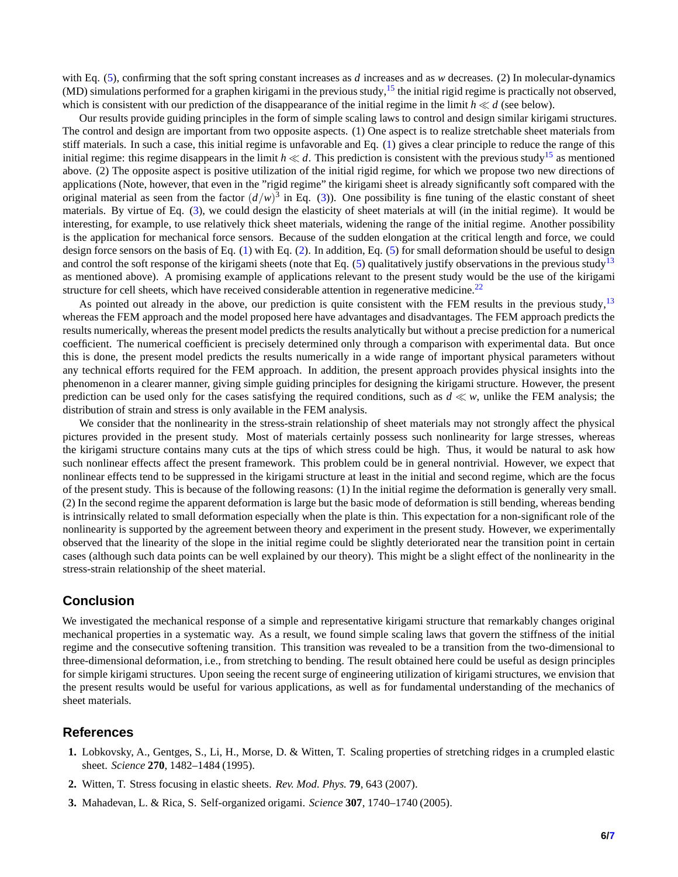with Eq. [\(5\)](#page-1-4), confirming that the soft spring constant increases as *d* increases and as *w* decreases. (2) In molecular-dynamics (MD) simulations performed for a graphen kirigami in the previous study,<sup>[15](#page-6-10)</sup> the initial rigid regime is practically not observed, which is consistent with our prediction of the disappearance of the initial regime in the limit  $h \ll d$  (see below).

Our results provide guiding principles in the form of simple scaling laws to control and design similar kirigami structures. The control and design are important from two opposite aspects. (1) One aspect is to realize stretchable sheet materials from stiff materials. In such a case, this initial regime is unfavorable and Eq. [\(1\)](#page-1-5) gives a clear principle to reduce the range of this initial regime: this regime disappears in the limit  $h \ll d$ . This prediction is consistent with the previous study<sup>[15](#page-6-10)</sup> as mentioned above. (2) The opposite aspect is positive utilization of the initial rigid regime, for which we propose two new directions of applications (Note, however, that even in the "rigid regime" the kirigami sheet is already significantly soft compared with the original material as seen from the factor  $(d/w)^3$  in Eq. [\(3\)](#page-1-2)). One possibility is fine tuning of the elastic constant of sheet materials. By virtue of Eq. [\(3\)](#page-1-2), we could design the elasticity of sheet materials at will (in the initial regime). It would be interesting, for example, to use relatively thick sheet materials, widening the range of the initial regime. Another possibility is the application for mechanical force sensors. Because of the sudden elongation at the critical length and force, we could design force sensors on the basis of Eq. [\(1\)](#page-1-5) with Eq. [\(2\)](#page-1-1). In addition, Eq. [\(5\)](#page-1-4) for small deformation should be useful to design and control the soft response of the kirigami sheets (note that Eq.  $(5)$  qualitatively justify observations in the previous study<sup>[13](#page-6-8)</sup> as mentioned above). A promising example of applications relevant to the present study would be the use of the kirigami structure for cell sheets, which have received considerable attention in regenerative medicine.<sup>[22](#page-6-17)</sup>

As pointed out already in the above, our prediction is quite consistent with the FEM results in the previous study, $13$ whereas the FEM approach and the model proposed here have advantages and disadvantages. The FEM approach predicts the results numerically, whereas the present model predicts the results analytically but without a precise prediction for a numerical coefficient. The numerical coefficient is precisely determined only through a comparison with experimental data. But once this is done, the present model predicts the results numerically in a wide range of important physical parameters without any technical efforts required for the FEM approach. In addition, the present approach provides physical insights into the phenomenon in a clearer manner, giving simple guiding principles for designing the kirigami structure. However, the present prediction can be used only for the cases satisfying the required conditions, such as *d* ≪ *w*, unlike the FEM analysis; the distribution of strain and stress is only available in the FEM analysis.

We consider that the nonlinearity in the stress-strain relationship of sheet materials may not strongly affect the physical pictures provided in the present study. Most of materials certainly possess such nonlinearity for large stresses, whereas the kirigami structure contains many cuts at the tips of which stress could be high. Thus, it would be natural to ask how such nonlinear effects affect the present framework. This problem could be in general nontrivial. However, we expect that nonlinear effects tend to be suppressed in the kirigami structure at least in the initial and second regime, which are the focus of the present study. This is because of the following reasons: (1) In the initial regime the deformation is generally very small. (2) In the second regime the apparent deformation is large but the basic mode of deformation is still bending, whereas bending is intrinsically related to small deformation especially when the plate is thin. This expectation for a non-significant role of the nonlinearity is supported by the agreement between theory and experiment in the present study. However, we experimentally observed that the linearity of the slope in the initial regime could be slightly deteriorated near the transition point in certain cases (although such data points can be well explained by our theory). This might be a slight effect of the nonlinearity in the stress-strain relationship of the sheet material.

# **Conclusion**

We investigated the mechanical response of a simple and representative kirigami structure that remarkably changes original mechanical properties in a systematic way. As a result, we found simple scaling laws that govern the stiffness of the initial regime and the consecutive softening transition. This transition was revealed to be a transition from the two-dimensional to three-dimensional deformation, i.e., from stretching to bending. The result obtained here could be useful as design principles for simple kirigami structures. Upon seeing the recent surge of engineering utilization of kirigami structures, we envision that the present results would be useful for various applications, as well as for fundamental understanding of the mechanics of sheet materials.

#### <span id="page-5-0"></span>**References**

- <span id="page-5-1"></span>**1.** Lobkovsky, A., Gentges, S., Li, H., Morse, D. & Witten, T. Scaling properties of stretching ridges in a crumpled elastic sheet. *Science* **270**, 1482–1484 (1995).
- <span id="page-5-2"></span>**2.** Witten, T. Stress focusing in elastic sheets. *Rev. Mod. Phys.* **79**, 643 (2007).
- **3.** Mahadevan, L. & Rica, S. Self-organized origami. *Science* **307**, 1740–1740 (2005).